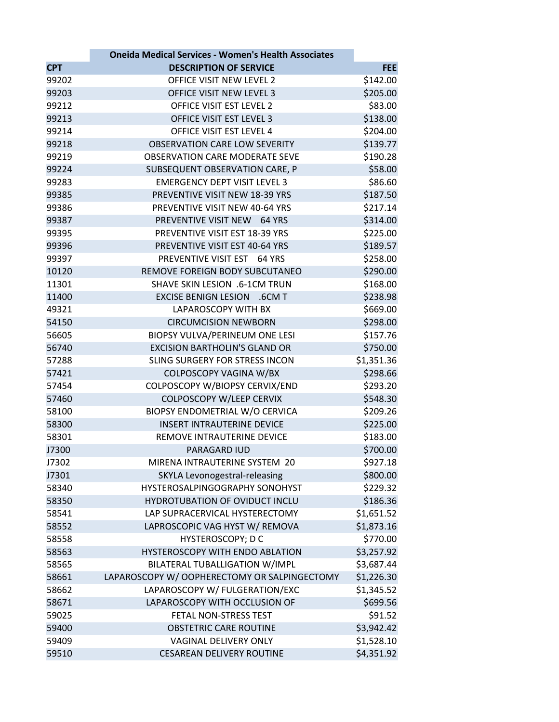|            | <b>Oneida Medical Services - Women's Health Associates</b> |            |
|------------|------------------------------------------------------------|------------|
| <b>CPT</b> | <b>DESCRIPTION OF SERVICE</b>                              | <b>FEE</b> |
| 99202      | OFFICE VISIT NEW LEVEL 2                                   | \$142.00   |
| 99203      | OFFICE VISIT NEW LEVEL 3                                   | \$205.00   |
| 99212      | OFFICE VISIT EST LEVEL 2                                   | \$83.00    |
| 99213      | OFFICE VISIT EST LEVEL 3                                   | \$138.00   |
| 99214      | OFFICE VISIT EST LEVEL 4                                   | \$204.00   |
| 99218      | <b>OBSERVATION CARE LOW SEVERITY</b>                       | \$139.77   |
| 99219      | <b>OBSERVATION CARE MODERATE SEVE</b>                      | \$190.28   |
| 99224      | SUBSEQUENT OBSERVATION CARE, P                             | \$58.00    |
| 99283      | <b>EMERGENCY DEPT VISIT LEVEL 3</b>                        | \$86.60    |
| 99385      | PREVENTIVE VISIT NEW 18-39 YRS                             | \$187.50   |
| 99386      | PREVENTIVE VISIT NEW 40-64 YRS                             | \$217.14   |
| 99387      | PREVENTIVE VISIT NEW 64 YRS                                | \$314.00   |
| 99395      | PREVENTIVE VISIT EST 18-39 YRS                             |            |
|            |                                                            | \$225.00   |
| 99396      | PREVENTIVE VISIT EST 40-64 YRS                             | \$189.57   |
| 99397      | PREVENTIVE VISIT EST 64 YRS                                | \$258.00   |
| 10120      | REMOVE FOREIGN BODY SUBCUTANEO                             | \$290.00   |
| 11301      | SHAVE SKIN LESION .6-1CM TRUN                              | \$168.00   |
| 11400      | EXCISE BENIGN LESION .6CM T                                | \$238.98   |
| 49321      | <b>LAPAROSCOPY WITH BX</b>                                 | \$669.00   |
| 54150      | <b>CIRCUMCISION NEWBORN</b>                                | \$298.00   |
| 56605      | BIOPSY VULVA/PERINEUM ONE LESI                             | \$157.76   |
| 56740      | <b>EXCISION BARTHOLIN'S GLAND OR</b>                       | \$750.00   |
| 57288      | SLING SURGERY FOR STRESS INCON                             | \$1,351.36 |
| 57421      | COLPOSCOPY VAGINA W/BX                                     | \$298.66   |
| 57454      | COLPOSCOPY W/BIOPSY CERVIX/END                             | \$293.20   |
| 57460      | <b>COLPOSCOPY W/LEEP CERVIX</b>                            | \$548.30   |
| 58100      | BIOPSY ENDOMETRIAL W/O CERVICA                             | \$209.26   |
| 58300      | <b>INSERT INTRAUTERINE DEVICE</b>                          | \$225.00   |
| 58301      | REMOVE INTRAUTERINE DEVICE                                 | \$183.00   |
| J7300      | <b>PARAGARD IUD</b>                                        | \$700.00   |
| J7302      | MIRENA INTRAUTERINE SYSTEM 20                              | \$927.18   |
| J7301      | SKYLA Levonogestral-releasing                              | \$800.00   |
| 58340      | HYSTEROSALPINGOGRAPHY SONOHYST                             | \$229.32   |
| 58350      | HYDROTUBATION OF OVIDUCT INCLU                             | \$186.36   |
| 58541      | LAP SUPRACERVICAL HYSTERECTOMY                             | \$1,651.52 |
| 58552      | LAPROSCOPIC VAG HYST W/ REMOVA                             | \$1,873.16 |
| 58558      | <b>HYSTEROSCOPY; D C</b>                                   | \$770.00   |
| 58563      | HYSTEROSCOPY WITH ENDO ABLATION                            | \$3,257.92 |
| 58565      | BILATERAL TUBALLIGATION W/IMPL                             | \$3,687.44 |
| 58661      | LAPAROSCOPY W/ OOPHERECTOMY OR SALPINGECTOMY               | \$1,226.30 |
| 58662      | LAPAROSCOPY W/ FULGERATION/EXC                             | \$1,345.52 |
|            |                                                            |            |
| 58671      | LAPAROSCOPY WITH OCCLUSION OF                              | \$699.56   |
| 59025      | FETAL NON-STRESS TEST                                      | \$91.52    |
| 59400      | <b>OBSTETRIC CARE ROUTINE</b>                              | \$3,942.42 |
| 59409      | VAGINAL DELIVERY ONLY                                      | \$1,528.10 |
| 59510      | <b>CESAREAN DELIVERY ROUTINE</b>                           | \$4,351.92 |